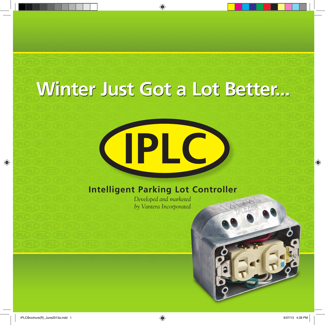## **Winter Just Got a Lot Better... Winter Just Got a Lot Better...**

#### **Intelligent Parking Lot Controller**

**IPLC**

*Developed and marketed by Vantera Incorporated*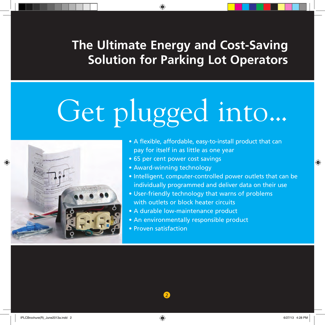#### **The Ultimate Energy and Cost-Saving Solution for Parking Lot Operators**

# Get plugged into...



- A flexible, affordable, easy-to-install product that can pay for itself in as little as one year
- 65 per cent power cost savings
- Award-winning technology
- Intelligent, computer-controlled power outlets that can be individually programmed and deliver data on their use
- User-friendly technology that warns of problems with outlets or block heater circuits
- A durable low-maintenance product
- An environmentally responsible product
- Proven satisfaction

2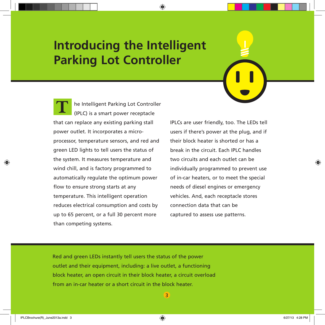#### **Introducing the Intelligent Parking Lot Controller**

he Intelligent Parking Lot Controller (IPLC) is a smart power receptacle that can replace any existing parking stall power outlet. It incorporates a microprocessor, temperature sensors, and red and green LED lights to tell users the status of the system. It measures temperature and wind chill, and is factory programmed to automatically regulate the optimum power flow to ensure strong starts at any temperature. This intelligent operation reduces electrical consumption and costs by up to 65 percent, or a full 30 percent more than competing systems. **T**

IPLCs are user friendly, too. The LEDs tell users if there's power at the plug, and if their block heater is shorted or has a break in the circuit. Each IPLC handles two circuits and each outlet can be individually programmed to prevent use of in-car heaters, or to meet the special needs of diesel engines or emergency vehicles. And, each receptacle stores connection data that can be captured to assess use patterns.

Red and green LEDs instantly tell users the status of the power outlet and their equipment, including: a live outlet, a functioning block heater, an open circuit in their block heater, a circuit overload from an in-car heater or a short circuit in the block heater.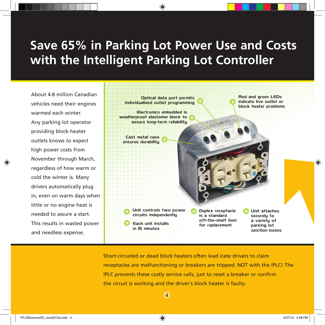### **Save 65% in Parking Lot Power Use and Costs with the Intelligent Parking Lot Controller**

About 4.8 million Canadian vehicles need their engines warmed each winter. Any parking lot operator providing block-heater outlets knows to expect high power costs from November through March, regardless of how warm or cold the winter is. Many drivers automatically plug in, even on warm days when little or no engine heat is needed to assure a start. This results in wasted power and needless expense.



Short-circuited or dead block heaters often lead irate drivers to claim receptacles are malfunctioning or breakers are tripped. NOT with the IPLC! The IPLC prevents these costly service calls, just to reset a breaker or confirm the circuit is working and the driver's block heater is faulty.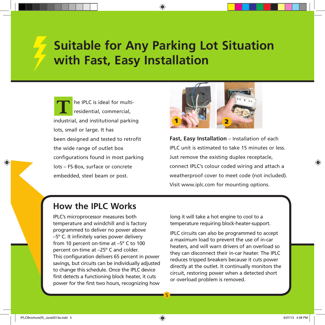### **Suitable for Any Parking Lot Situation with Fast, Easy Installation**

he IPLC is ideal for multiresidential, commercial, industrial, and institutional parking lots, small or large. It has been designed and tested to retrofit the wide range of outlet box configurations found in most parking lots – FS-Box, surface or concrete embedded, steel beam or post. **T**



**Fast, Easy Installation** – Installation of each IPLC unit is estimated to take 15 minutes or less. Just remove the existing duplex receptacle, connect IPLC's colour coded wiring and attach a weatherproof cover to meet code (not included). Visit www.iplc.com for mounting options.

#### **How the IPLC Works**

IPLC's microprocessor measures both temperature and windchill and is factory programmed to deliver no power above –5º C. It infinitely varies power delivery from 10 percent on-time at –5º C to 100 percent on-time at –25º C and colder. This configuration delivers 65 percent in power savings, but circuits can be individually adjusted to change this schedule. Once the IPLC device first detects a functioning block heater, it cuts power for the first two hours, recognizing how

long it will take a hot engine to cool to a temperature requiring block-heater-support.

IPLC circuits can also be programmed to accept a maximum load to prevent the use of in-car heaters, and will warn drivers of an overload so they can disconnect their in-car heater. The IPLC reduces tripped breakers because it cuts power directly at the outlet. It continually monitors the circuit, restoring power when a detected short or overload problem is removed.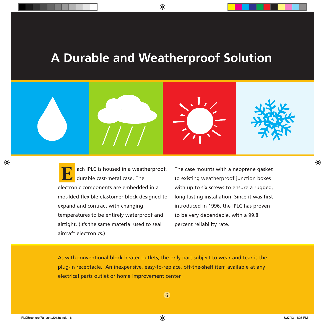#### **A Durable and Weatherproof Solution**



ach IPLC is housed in a weatherproof, durable cast-metal case. The electronic components are embedded in a moulded flexible elastomer block designed to expand and contract with changing temperatures to be entirely waterproof and airtight. (It's the same material used to seal aircraft electronics.) **E**

The case mounts with a neoprene gasket to existing weatherproof junction boxes with up to six screws to ensure a rugged, long-lasting installation. Since it was first introduced in 1996, the IPLC has proven to be very dependable, with a 99.8 percent reliability rate.

As with conventional block heater outlets, the only part subject to wear and tear is the plug-in receptacle. An inexpensive, easy-to-replace, off-the-shelf item available at any electrical parts outlet or home improvement center.

6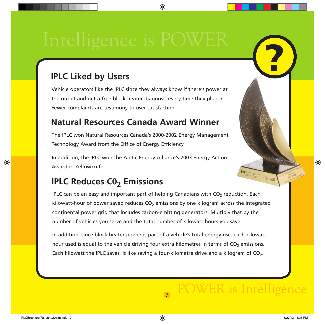#### **IPLC Liked by Users**

Vehicle operators like the IPLC since they always know if there's power at the outlet and get a free block heater diagnosis every time they plug in. Fewer complaints are testimony to user satisfaction.

#### **Natural Resources Canada Award Winner**

The IPLC won Natural Resources Canada's 2000-2002 Energy Management Technology Award from the Office of Energy Efficiency.

In addition, the IPLC won the Arctic Energy Alliance's 2003 Energy Action Award in Yellowknife.

#### **IPLC Reduces CO<sub>2</sub> Emissions**

IPLC can be an easy and important part of helping Canadians with  $CO<sub>2</sub>$  reduction. Each kilowatt-hour of power saved reduces  $CO<sub>2</sub>$  emissions by one kilogram across the integrated continental power grid that includes carbon-emitting generators. Multiply that by the number of vehicles you serve and the total number of kilowatt hours you save.

In addition, since block heater power is part of a vehicle's total energy use, each kilowatthour used is equal to the vehicle driving four extra kilometres in terms of CO<sub>2</sub> emissions. Each kilowatt the IPLC saves, is like saving a four-kilometre drive and a kilogram of  $CO<sub>2</sub>$ .

7

Canada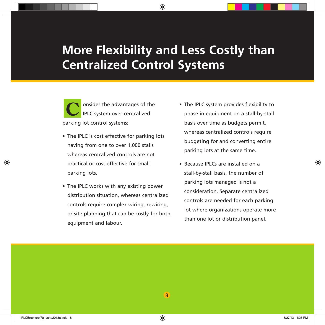#### **More Flexibility and Less Costly than Centralized Control Systems**

onsider the advantages of the IPLC system over centralized parking lot control systems: **C**

- The IPLC is cost effective for parking lots having from one to over 1,000 stalls whereas centralized controls are not practical or cost effective for small parking lots.
- The IPLC works with any existing power distribution situation, whereas centralized controls require complex wiring, rewiring, or site planning that can be costly for both equipment and labour.
- The IPLC system provides flexibility to phase in equipment on a stall-by-stall basis over time as budgets permit, whereas centralized controls require budgeting for and converting entire parking lots at the same time.
- Because IPLCs are installed on a stall-by-stall basis, the number of parking lots managed is not a consideration. Separate centralized controls are needed for each parking lot where organizations operate more than one lot or distribution panel.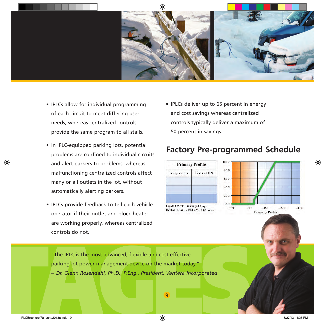

- IPLCs allow for individual programming of each circuit to meet differing user needs, whereas centralized controls provide the same program to all stalls.
- In IPLC-equipped parking lots, potential problems are confined to individual circuits and alert parkers to problems, whereas malfunctioning centralized controls affect many or all outlets in the lot, without automatically alerting parkers.
- IPLCs provide feedback to tell each vehicle operator if their outlet and block heater are working properly, whereas centralized controls do not.

• IPLCs deliver up to 65 percent in energy and cost savings whereas centralized controls typically deliver a maximum of 50 percent in savings.

#### **Factory Pre-programmed Schedule**





The IPLC is the most advanced, flexible and cost effective<br>parking lot power management device on the market today."<br>- Dr. Glenn Rosendahl, Ph.D., P.Eng., President, Vantera Incorporated<br>9 "The IPLC is the most advanced, flexible and cost effective parking lot power management device on the market today." *– Dr. Glenn Rosendahl, Ph.D., P.Eng., President, Vantera Incorporated*

9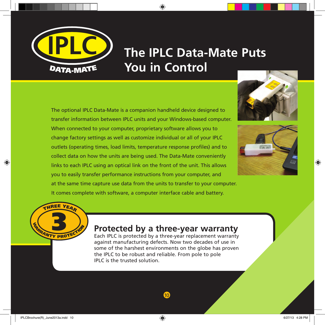

### **IPLC The IPLC Data-Mate Puts You in Control**

The optional IPLC Data-Mate is a companion handheld device designed to transfer information between IPLC units and your Windows-based computer. When connected to your computer, proprietary software allows you to change factory settings as well as customize individual or all of your IPLC outlets (operating times, load limits, temperature response profiles) and to collect data on how the units are being used. The Data-Mate conveniently links to each IPLC using an optical link on the front of the unit. This allows you to easily transfer performance instructions from your computer, and at the same time capture use data from the units to transfer to your computer.

It comes complete with software, a computer interface cable and battery.







#### 3 **Protected by a three-year warranty**

Each IPLC is protected by a three-year replacement warranty against manufacturing defects. Now two decades of use in some of the harshest environments on the globe has proven the IPLC to be robust and reliable. From pole to pole IPLC is the trusted solution.

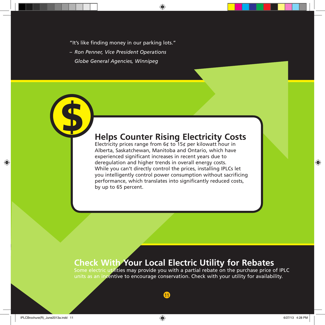"It's like finding money in our parking lots."

*– Ron Penner, Vice President Operations Globe General Agencies, Winnipeg*

\$

#### **Helps Counter Rising Electricity Costs**

Electricity prices range from  $6¢$  to 15¢ per kilowatt hour in Alberta, Saskatchewan, Manitoba and Ontario, which have experienced significant increases in recent years due to deregulation and higher trends in overall energy costs. While you can't directly control the prices, installing IPLCs let you intelligently control power consumption without sacrificing performance, which translates into significantly reduced costs, by up to 65 percent.

#### **Check With Your Local Electric Utility for Rebates**

11

Some electric utilities may provide you with a partial rebate on the purchase price of IPLC units as an incentive to encourage conservation. Check with your utility for availability.